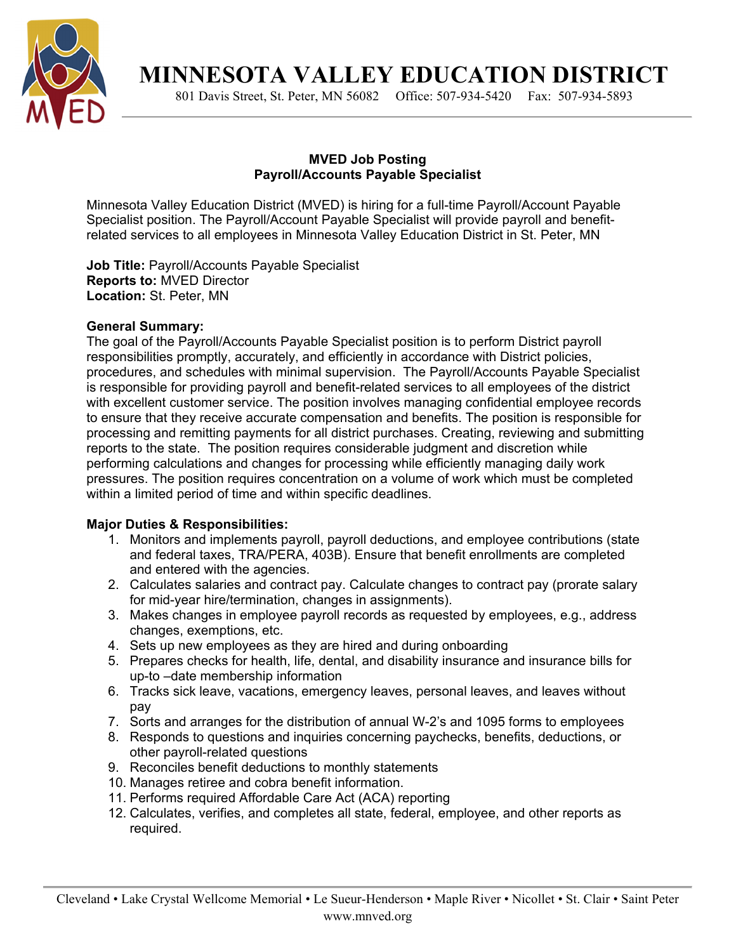

**MINNESOTA VALLEY EDUCATION DISTRICT** 

801 Davis Street, St. Peter, MN 56082 Office: 507-934-5420 Fax: 507-934-5893

## **MVED Job Posting Payroll/Accounts Payable Specialist**

Minnesota Valley Education District (MVED) is hiring for a full-time Payroll/Account Payable Specialist position. The Payroll/Account Payable Specialist will provide payroll and benefitrelated services to all employees in Minnesota Valley Education District in St. Peter, MN

**Job Title:** Payroll/Accounts Payable Specialist **Reports to:** MVED Director **Location:** St. Peter, MN

# **General Summary:**

The goal of the Payroll/Accounts Payable Specialist position is to perform District payroll responsibilities promptly, accurately, and efficiently in accordance with District policies, procedures, and schedules with minimal supervision. The Payroll/Accounts Payable Specialist is responsible for providing payroll and benefit-related services to all employees of the district with excellent customer service. The position involves managing confidential employee records to ensure that they receive accurate compensation and benefits. The position is responsible for processing and remitting payments for all district purchases. Creating, reviewing and submitting reports to the state. The position requires considerable judgment and discretion while performing calculations and changes for processing while efficiently managing daily work pressures. The position requires concentration on a volume of work which must be completed within a limited period of time and within specific deadlines.

### **Major Duties & Responsibilities:**

- 1. Monitors and implements payroll, payroll deductions, and employee contributions (state and federal taxes, TRA/PERA, 403B). Ensure that benefit enrollments are completed and entered with the agencies.
- 2. Calculates salaries and contract pay. Calculate changes to contract pay (prorate salary for mid-year hire/termination, changes in assignments).
- 3. Makes changes in employee payroll records as requested by employees, e.g., address changes, exemptions, etc.
- 4. Sets up new employees as they are hired and during onboarding
- 5. Prepares checks for health, life, dental, and disability insurance and insurance bills for up-to –date membership information
- 6. Tracks sick leave, vacations, emergency leaves, personal leaves, and leaves without pay
- 7. Sorts and arranges for the distribution of annual W-2's and 1095 forms to employees
- 8. Responds to questions and inquiries concerning paychecks, benefits, deductions, or other payroll-related questions
- 9. Reconciles benefit deductions to monthly statements
- 10. Manages retiree and cobra benefit information.
- 11. Performs required Affordable Care Act (ACA) reporting
- 12. Calculates, verifies, and completes all state, federal, employee, and other reports as required.